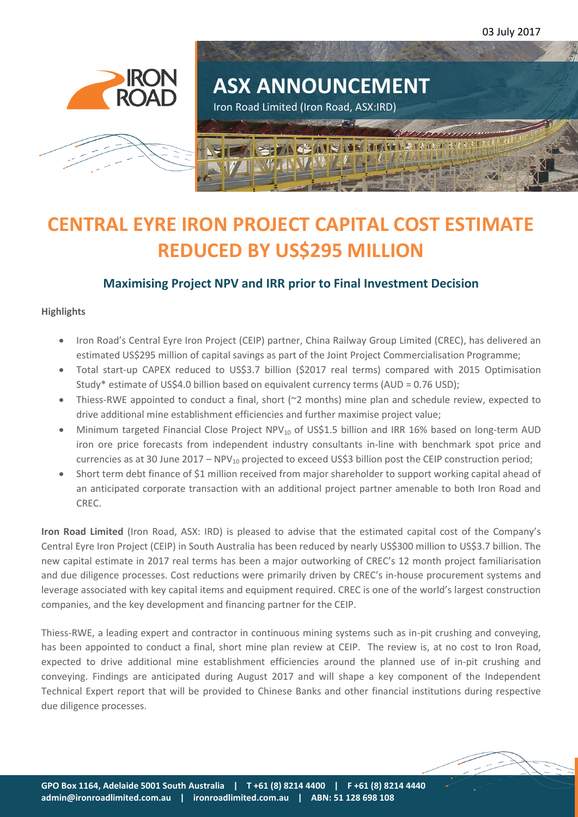03 July 2017





# **CENTRAL EYRE IRON PROJECT CAPITAL COST ESTIMATE REDUCED BY US\$295 MILLION**

# **Maximising Project NPV and IRR prior to Final Investment Decision**

## **Highlights**

- Iron Road's Central Eyre Iron Project (CEIP) partner, China Railway Group Limited (CREC), has delivered an estimated US\$295 million of capital savings as part of the Joint Project Commercialisation Programme;
- Total start-up CAPEX reduced to US\$3.7 billion (\$2017 real terms) compared with 2015 Optimisation Study\* estimate of US\$4.0 billion based on equivalent currency terms (AUD = 0.76 USD);
- Thiess-RWE appointed to conduct a final, short (~2 months) mine plan and schedule review, expected to drive additional mine establishment efficiencies and further maximise project value;
- Minimum targeted Financial Close Project NPV<sub>10</sub> of US\$1.5 billion and IRR 16% based on long-term AUD iron ore price forecasts from independent industry consultants in-line with benchmark spot price and currencies as at 30 June 2017 –  $NPV_{10}$  projected to exceed US\$3 billion post the CEIP construction period;
- Short term debt finance of \$1 million received from major shareholder to support working capital ahead of an anticipated corporate transaction with an additional project partner amenable to both Iron Road and CREC.

**Iron Road Limited** (Iron Road, ASX: IRD) is pleased to advise that the estimated capital cost of the Company's Central Eyre Iron Project (CEIP) in South Australia has been reduced by nearly US\$300 million to US\$3.7 billion. The new capital estimate in 2017 real terms has been a major outworking of CREC's 12 month project familiarisation and due diligence processes. Cost reductions were primarily driven by CREC's in-house procurement systems and leverage associated with key capital items and equipment required. CREC is one of the world's largest construction companies, and the key development and financing partner for the CEIP.

Thiess-RWE, a leading expert and contractor in continuous mining systems such as in-pit crushing and conveying, has been appointed to conduct a final, short mine plan review at CEIP. The review is, at no cost to Iron Road, expected to drive additional mine establishment efficiencies around the planned use of in-pit crushing and conveying. Findings are anticipated during August 2017 and will shape a key component of the Independent Technical Expert report that will be provided to Chinese Banks and other financial institutions during respective due diligence processes.